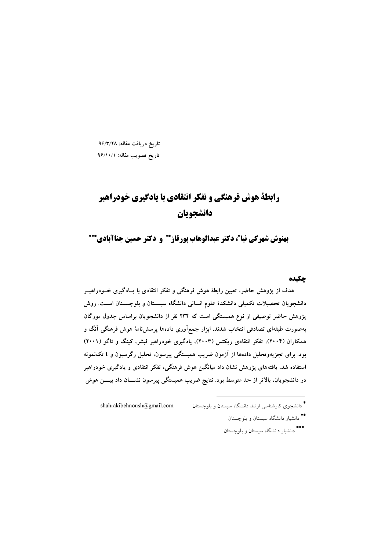تاریخ دریافت مقاله: ۹۶/۳/۲۸ تاریخ تصویب مقاله: ۹۶/۱۰/۱

# **رابطة هوش فرهنگي و تفكر انتقادي با يادگيري خودراهبر** دانشحويان

بهنوش شهركي نياءٌ، دكتر عبدالوهاب يورقاز\*\* و دكتر حسين جناآبادي\*\*\*

# حكىده

هدف از پژوهش حاضر، تعیین رابطهٔ هوش فرهنگی و تفکر انتقادی با پـادگیری خــودراهبــر دانشجویان تحصیلات تکمیلی دانشکدهٔ علوم انسانی دانشگاه سیســتان و بلوچســتان اســت. روش یژوهش حاضر توصیفی از نوع همبستگی است که ۲۳۴ نفر از دانشجویان براساس جدول مورگان .<br>بهصورت طبقهای تصادفی انتخاب شدند. ابزار جمع**(اَوری دادهها پرسش**نامهٔ هوش فرهنگی اَنگ و همکاران (۲۰۰۴)، تفکر انتقادی ریکتس (۲۰۰۳)، یادگیری خودراهبر فیشر، کینگ و تاگو (۲۰۰۱) بود. برای تجزیهوتحلیل دادهها از آزمون ضریب همبستگی پیرسون، تحلیل رگرسیون و t تکنمونه استفاده شد. یافتههای پژوهش نشان داد میانگین هوش فرهنگی، تفکر انتقادی و یادگیری خودراهبر در دانشجویان، بالاتر از حد متوسط بود. نتایج ضریب همبستگی پیرسون نشــــان داد بیــــن هوش

\* دانشجوی کارشناسی ارشد دانشگاه سیستان و بلوچستان shahrakibehnoush@gmail.com

- \*\*<br>\* دانشیار دانشگاه سیستان و بلوچستان
- \*\*\*<br>دانشبار دانشگاه سیستان و بلوچستان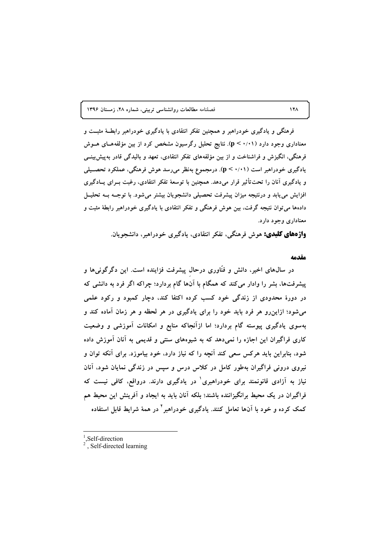فصلنامه مطالعات روانشناسی تربیتی، شماره ۲۸، زمستان ۱۳۹۶

فرهنگی و یادگیری خودراهبر و همچنین تفکر انتقادی با یادگیری خودراهبر رابطـهٔ مثبــت و معناداری وجود دارد (p < ۰/۰۱). نتایج تحلیل رگرسیون مشخص کرد از بین مؤلفههـای هــوش فرهنگی، انگیزش و فراشناخت و از بین مؤلفههای تفکر انتقادی، تعهد و بالیدگی قادر بهپیش بینسی یادگیری خودراهبر است (p < ۰/۰۱). درمجموع بهنظر میررسد هوش فرهنگی، عملکرد تحصــیلی و یادگیری آنان را تحتتأثیر قرار میدهد. همچنین با توسعهٔ تفکر انتقادی، رغبت بــرای پــادگیری افزایش می یابد و درنتیجه میزان پیشرفت تحصیلی دانشجویان بیشتر میشود. با توجــه بــه تحلیــل دادهها می توان نتیجه گرفت، بین هوش فرهنگی و تفکر انتقادی با یادگیری خودراهبر رابطهٔ مثبت و معناداری وجود دارد.

**واژههای کلیدی:** هوش فرهنگی، تفکر انتقادی، یادگیری خودراهبر، دانشجویان.

### مقدمه

در سال@ای اخیر، دانش و فنّاوری درحال پیشرفت فزاینده است. این دگرگونی۵ا و پیشرفتها، بشر را وادار میکند که همگام با آنها گام بردارد؛ چراکه اگر فرد به دانشی که در دورهٔ محدودی از زندگی خود کسب کرده اکتفا کند، دچار کمبود و رکود علمی میشود؛ ازاین٫و هر فرد باید خود را برای یادگیری در هر لحظه و هر زمان آماده کند و بهسوی یادگیری پیوسته گام بردارد؛ اما ازآنجاکه منابع و امکانات آموزشی و وضعیت کاری فراگیران این اجازه را نمیدهد که به شیوههای سنتی و قدیمی به آنان آموزش داده شود، بنابراین باید هرکس سعی کند آنچه را که نیاز دارد، خود بیاموزد. برای آنکه توان و نیروی درونی فراگیران بهطور کامل در کلاس درس و سپس در زندگی نمایان شود، آنان نیاز به آزادی قانونمند برای خودراهبری<sup>۱</sup> در یادگیری دارند. درواقع، کافی نیست که فراگیران در یک محیط برانگیزاننده باشند؛ بلکه آنان باید به ایجاد و آفرینش این محیط هم کمک کرده و خود با آنها تعامل کنند. یادگیری خودراهبر <sup>۲</sup> در همهٔ شرایط قابل استفاده

Self-direction

#### $\lambda$

<sup>.</sup> Self-directed learning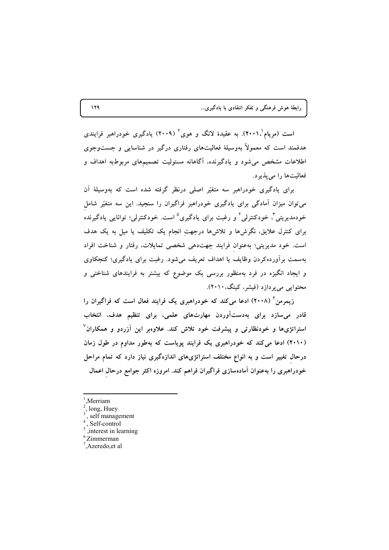است (مریام'۲۰۰۱). به عقیدهٔ لانگ و هوی<sup>۲</sup> (۲۰۰۹) یادگیری خودراهبر فرایندی هدفمند است که معمولاً بهوسیلهٔ فعالیتهای رفتاری درگیر در شناسایی و جستوجوی اطلاعات مشخص میشود و یادگیرنده، آگاهانه مسئولیت تصمیمهای مربوطبه اهداف و فعالیتها را می پذیرد.

برای یادگیری خودراهبر سه متغیّر اصلی درنظر گرفته شده است که بهوسیلهٔ آن می توان میزان آمادگی برای یادگیری خودراهبر فراگیران را سنجید. این سه متغیّر شامل خودمدیریتی<sup>۳</sup>، خودکنترلی<sup>۴</sup> و رغبت برای یادگیری<sup>۵</sup> است. خودکنترلی؛ توانایی یادگیرنده برای کنترل علایق، نگرشها و تلاشها درجهت انجام یک تکلیف یا میل به یک هدف است. خود مدیریتی؛ بهعنوان فرایند جهتدهی شخصی تمایلات، رفتار و شناخت افراد بهسمت برآوردهکردن وظایف یا اهداف تعریف می شود. رغبت برای یادگیری؛ کنجکاوی و ایجاد انگیزه در فرد بهمنظور بررسی یک موضوع که بیشتر به فرایندهای شناختی و محتوایی می پردازد (فیشر، کینگ، ۲۰۱۰).

زیمرمن ٔ (۲۰۰۸) ادعا میکند که خودراهبری یک فرایند فعال است که فراگیران را قادر میسازد برای بهدستآوردن مهارتهای علمی، برای تنظیم هدف، انتخاب استراتژیها و خودنظارتی و پیشرفت خود تلاش کند. علاوهبر این آزردو و همکاران<sup>۷</sup> (۲۰۱۰) ادعا می کند که خودراهبری یک فرایند پویاست که بهطور مداوم در طول زمان درحال تغییر است و به انواع مختلف استراتژیهای اندازهگیری نیاز دارد که تمام مراحل خودراهبری را بهعنوان آمادهسازی فراگیران فراهم کند. امروزه اکثر جوامع درحال اعمال

Merriam

long, Huey

<sup>,</sup> self management

Self-control

interest in learning

 $6$ . Zimmerman

 $^7$ , Azeredo, et al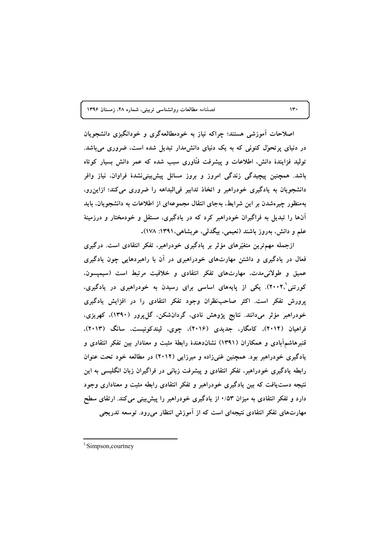فصلنامه مطالعات روانشناسی تربیتی، شماره ۲۸، زمستان ۱۳۹۶

اصلاحات آموزشی هستند؛ چراکه نیاز به خودمطالعهگری و خودانگیزی دانشجویان در دنیای پرتحوٌل کنونی که به یک دنیای دانش مدار تبدیل شده است، ضروری میباشد. تولید فزایندهٔ دانش، اطلاعات و پیشرفت فنّاوری سبب شده که عمر دانش بسیار کوتاه باشد. همچنین پیچیدگی زندگی امروز و بروز مسائل پیش،پینی،نشدهٔ فراوان، نیاز وافر دانشجويان به يادگيري خودراهبر و اتخاذ تدابير في البداهه را ضروري مي كند؛ ازاين رو، بهمنظور چیرهشدن بر این شرایط، بهجای انتقال مجموعهای از اطلاعات به دانشجویان، باید آنها را تبدیل به فراگیران خودراهبر کرد که در یادگیری، مستقل و خودمختار و درزمینهٔ علم و دانش، بەروز باشند (نعیمی، بیگدلمی، عربشاهی،۱۳۹۱: ۱۷۸).

ازجمله مهمترین متغیّرهای مؤثر بر یادگیری خودراهبر، تفکر انتقادی است. درگیری فعال در یادگیری و داشتن مهارتهای خودراهبری در آن با راهبردهایی چون یادگیری عمیق و طولانی مدت، مهارتهای تفکر انتقادی و خلاقیت مرتبط است (سیمپسون. کورتنی'،۲۰۰۲). یکی از پایههای اساسی برای رسیدن به خودراهبری در یادگیری، پرورش تفکر است. اکثر صاحبنظران وجود تفکر انتقادی را در افزایش یادگیری خودراهبر مؤثر مىدانند. نتايج پژوهش نادى، گردانشكن، گلپرور (۱۳۹۰)، كهريزى، فراهیان (۲۰۱۴)، کامگار، جدیدی (۲۰۱۶)، چوی، لیندکوئیست، سانگ (۲۰۱۳)، قنبرهاشمآبادی و همکاران (۱۳۹۱) نشاندهندهٔ رابطهٔ مثبت و معنادار بین تفکر انتقادی و یادگیری خودراهبر بود. همچنین غنیزاده و میرزایی (۲۰۱۲) در مطالعه خود تحت عنوان رابطه یادگیری خودراهبر، تفکر انتقادی و پیشرفت زبانی در فراگیران زبان انگلیسی به این نتیجه دست یافت که بین یادگیری خودراهبر و تفکر انتقادی رابطه مثبت و معناداری وجود دارد و تفکر انتقادی به میزان ۰/۵۳ از یادگیری خودراهبر را پیشبینی می کند. ارتقای سطح مهارتهای تفکر انتقادی نتیجهای است که از آموزش انتظار میرود. توسعه تدریجی

 $\mathcal{W}$ 

<sup>&</sup>lt;sup>1</sup>Simpson, courtney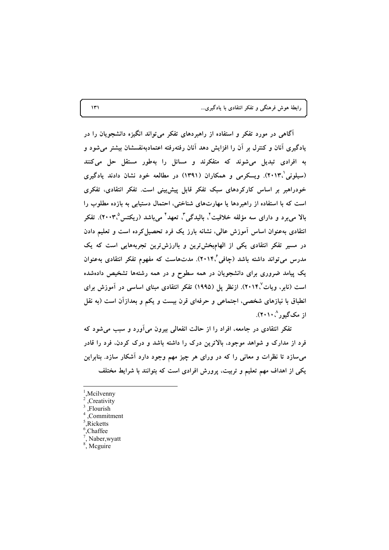| رابطهٔ هوش فرهنگی و تفکر انتقادی با یادگیری |  |  |  |  |  |  |  |
|---------------------------------------------|--|--|--|--|--|--|--|
|---------------------------------------------|--|--|--|--|--|--|--|

آگاهی در مورد تفکر و استفاده از راهبردهای تفکر میتواند انگیزه دانشجویان را در یادگیری آنان و کنترل بر آن را افزایش دهد آنان رفتهرفته اعتمادبهنفسشان بیشتر می شود و به افرادی تبدیل می شوند که متفکرند و مسائل را بهطور مستقل حل می کنند (سیلونی ۲۰۱۳). ویسکرمی و همکاران (۱۳۹۱) در مطالعه خود نشان دادند یادگیری خودراهبر بر اساس کارکردهای سبک تفکر قابل پیش بینی است. تفکر انتقادی، تفکری است که با استفاده از راهبردها یا مهارتهای شناختی، احتمال دستیابی به بازده مطلوب را بالا میبرد و دارای سه مؤلفه خلاقیت'، بالیدگی'، تعهد' میباشد (ریکتس°،۲۰۰۳). تفکر انتقادی بهعنوان اساس أموزش عالمی، نشانه بارز یک فرد تحصیل کرده است و تعلیم دادن در مسیر تفکر انتقادی یکی از الهامبخشترین و باارزشترین تجربههایی است که یک مدرس می تواند داشته باشد (چافی ۲۰۱۴). مدتهاست که مفهوم تفکر انتقادی بهعنوان یک پیامد ضروری برای دانشجویان در همه سطوح و در همه رشتهها تشخیص دادهشده است (نابر، ویات'۲۰۱۴). ازنظر پل (۱۹۹۵) تفکر انتقادی مبنای اساسی در آموزش برای انطباق با نیازهای شخصی، اجتماعی و حرفهای قرن بیست و یکم و بعدازآن است (به نقل از مکگیور ۲۰۱۰').

تفکر انتقادی در جامعه، افراد را از حالت انفعالی بیرون میآورد و سبب میشود که فرد از مدارک و شواهد موجود، بالاترین درک را داشته باشد و درک کردن، فرد را قادر می سازد تا نظرات و معانی را که در ورای هر چیز مهم وجود دارد آشکار سازد. بنابراین یکی از اهداف مهم تعلیم و تربیت، پرورش افرادی است که بتوانند با شرایط مختلف

 $\mathcal{N}$ 

Mcilvenny

<sup>,</sup>Creativity

<sup>.</sup>Flourish

Commitment

 $<sup>5</sup>$ . Ricketts</sup>

<sup>&</sup>lt;sup>6</sup>.Chaffee

<sup>,</sup> Naber, wyatt

 $\frac{8}{3}$ . Meguire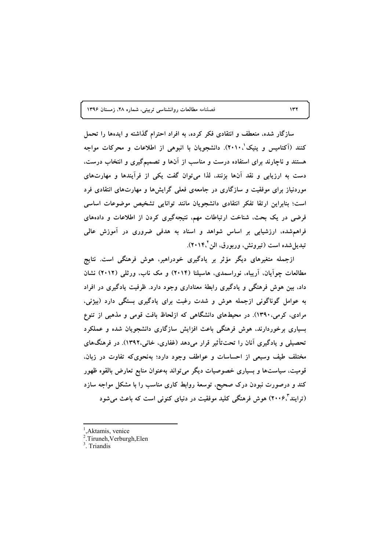فصلنامه مطالعات روانشناسی تربیتی، شماره ٢٨، زمستان ١٣٩۶

سازگار شده، منعطف و انتقادی فکر کرده، به افراد احترام گذاشته و ایدهها را تحمل کنند (آکتامیس و پنیک'۲۰۱۰). دانشجویان با انبوهی از اطلاعات و محرکات مواجه هستند و ناچارند برای استفاده درست و مناسب از آنها و تصمیمگیری و انتخاب درست، دست به ارزیابی و نقد آنها بزنند، لذا می توان گفت یکی از فرآیندها و مهارتهای موردنیاز برای موفقیت و سازگاری در جامعهی فعلی گرایشها و مهارتهای انتقادی فرد است؛ بنابراین ارتقا تفکر انتقادی دانشجویان مانند توانایی تشخیص موضوعات اساسی فرضی در یک بحث، شناخت ارتباطات مهم، نتیجهگیری کردن از اطلاعات و دادههای فراهم شده، ارزشیابی بر اساس شواهد و اسناد به هدفی ضروری در آموزش عالی تبدیل شده است (تیرونش، وربورق، الن ۲۰۱۴٬).

ازجمله متغیرهای دیگر مؤثر بر یادگیری خودراهبر، هوش فرهنگی است. نتایج مطالعات چوآیان، آریباه، نوراسمدی، هاسیلنا (۲۰۱۴) و مک ناب، ورثلی (۲۰۱۲) نشان داد، بین هوش فرهنگی و یادگیری رابطهٔ معناداری وجود دارد. ظرفیت یادگیری در افراد به عوامل گوناگونی ازجمله هوش و شدت رغبت برای یادگیری بستگی دارد (بیژنی، مرادی، کرمی،۱۳۹۰). در محیطهای دانشگاهی که ازلحاظ بافت قومی و مذهبی از تنوع بسیاری برخوردارند، هوش فرهنگی باعث افزایش سازگاری دانشجویان شده و عملکرد تحصیلی و یادگیری آنان را تحتتأثیر قرار میدهد (غفاری، خانی،۱۳۹۲). در فرهنگهای مختلف طیف وسیعی از احساسات و عواطف وجود دارد؛ بهنحوی که تفاوت در زبان. قومیت، سیاستها و بسیاری خصوصیات دیگر می تواند بهعنوان منابع تعارض بالقوه ظهور کند و درصورت نبودن درک صحیح، توسعهٔ روابط کاری مناسب را با مشکل مواجه سازد (ترایند ۲۰۰۶) هوش فرهنگی کلید موفقیت در دنیای کنونی است که باعث میشود

Aktamis, venice

<sup>&</sup>lt;sup>2</sup>.Tiruneh, Verburgh, Elen

<sup>&</sup>lt;sup>3</sup> Triandis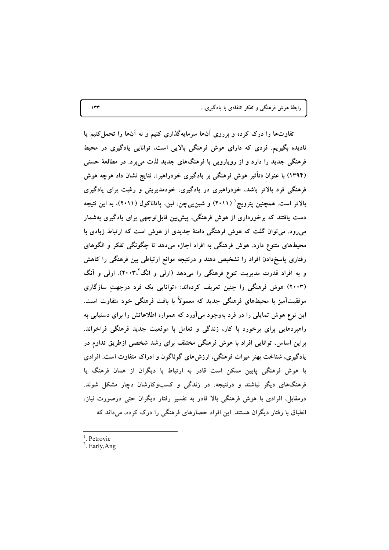تفاوتها را درک کرده و برروی آنها سرمایهگذاری کنیم و نه آنها را تحمل کنیم یا نادیده بگیریم. فردی که دارای هوش فرهنگی بالایی است، توانایی یادگیری در محیط فرهنگی جدید را دارد و از رویارویی با فرهنگهای جدید لذت می برد. در مطالعهٔ حسنی (۱۳۹۴) با عنوان «تأثیر هوش فرهنگی بر یادگیری خودراهبر»، نتایج نشان داد هرچه هوش فرهنگی فرد بالاتر باشد، خودراهبری در یادگیری، خودمدیریتی و رغبت برای یادگیری بالاتر است. همچنین پترویچ ٔ (۲۰۱۱) و شین یی چن، لین، پاتاناکول (۲۰۱۱)، به این نتیجه دست یافتند که برخورداری از هوش فرهنگی، پیش بین قابل توجهی برای یادگیری بهشمار میرود. می توان گفت که هوش فرهنگی دامنهٔ جدیدی از هوش است که ارتباط زیادی با محیطهای متنوع دارد. هوش فرهنگی به افراد اجازه میدهد تا چگونگی تفکر و الگوهای رفتاری پاسخدادن افراد را تشخیص دهند و درنتیجه موانع ارتباطی بین فرهنگی را کاهش و به افراد قدرت مدیریت تنوع فرهنگی را میدهد (ارلی و انگ<sup>۲</sup>٬۳۰۳). ارلی و آنگ (۲۰۰۳) هوش فرهنگی را چنین تعریف کردهاند: «توانایی یک فرد درجهت سازگاری موفقیتآمیز با محیطهای فرهنگی جدید که معمولاً با بافت فرهنگی خود متفاوت است. این نوع هوش تمایلی را در فرد بهوجود میآورد که همواره اطلاعاتش را برای دستیابی به راهبردهایی برای برخورد با کار، زندگی و تعامل با موقعیت جدید فرهنگی فراخواند. براین اساس، توانایی افراد با هوش فرهنگی مختلف برای رشد شخصی ازطریق تداوم در یادگیری، شناخت بهتر میراث فرهنگی، ارزشهای گوناگون و ادراک متفاوت است. افرادی با هوش فرهنگی پایین ممکن است قادر به ارتباط با دیگران از همان فرهنگ یا فرهنگهای دیگر نباشند و درنتیجه، در زندگی و کسبوکارشان دچار مشکل شوند. درمقابل، افرادی با هوش فرهنگی بالا قادر به تفسیر رفتار دیگران حتی درصورت نیاز، انطباق با رفتار دیگران هستند. این افراد حصارهای فرهنگی را درک کرده، می داند که

 $<sup>1</sup>$ . Petrovic</sup>

 $2.$  Early, Ang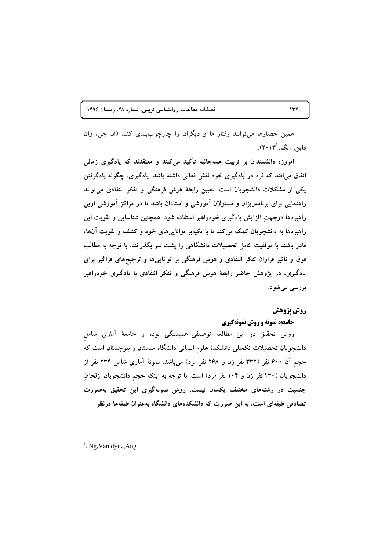فصلنامه مطالعات روانشناسی تربیتی، شماره ٢٨، زمستان ١٣٩۶

همین حصارها می توانند رفتار ما و دیگران را چارچوببندی کنند (ان جی، وان داین آنگ،'۲۰۱۳).

امروزه دانشمندان بر تربیت همهجانبه تأکید میکنند و معتقدند که یادگیری زمانی اتفاق می افتد که فرد در یادگیری خود نقش فعالی داشته باشد. یادگیری، چگونه یادگرفتن یکی از مشکلات دانشجویان است. تعیین رابطهٔ هوش فرهنگی و تفکر انتقادی می تواند راهنمایی برای برنامهریزان و مسئولان آموزشی و استادان باشد تا در مراکز آموزشی ازین راهبردها درجهت افزایش یادگیری خودراهبر استفاده شود. همچنین شناسایی و تقویت این راهبردها به دانشجویان کمک میکند تا با تکیهبر تواناییهای خود و کشف و تقویت آنها، قادر باشند با موفقیت کامل تحصیلات دانشگاهی را پشت سر بگذرانند. با توجه به مطالب فوق و تأثیر فراوان تفکر انتقادی و هوش فرهنگی بر تواناییها و ترجیحهای فراگیر برای یادگیری، در پژوهش حاضر رابطهٔ هوش فرهنگی و تفکر انتقادی با یادگیری خودراهبر بررسی می شود.

# **روش پژوهش**

# جامعه، نمونه و روش نمونهگیری

روش تحقیق در این مطالعه توصیفی-همبستگی بوده و جامعهٔ آماری شامل دانشجویان تحصیلات تکمیلی دانشکدهٔ علوم انسانی دانشگاه سیستان و بلوچستان است که حجم آن ۶۰۰ نفر (۳۳۲ نفر زن و ۲۶۸ نفر مرد) میباشد. نمونهٔ آماری شامل ۲۳۴ نفر از دانشجویان (۱۳۰ نفر زن و ۱۰۴ نفر مرد) است. با توجه به اینکه حجم دانشجویان ازلحاظ جنسیت در رشتههای مختلف یکسان نیست، روش نمونهگیری این تحقیق بهصورت تصادفی طبقهای است، به این صورت که دانشکدههای دانشگاه بهعنوان طبقهها درنظر

<sup>&</sup>lt;sup>1</sup>. Ng, Van dyne, Ang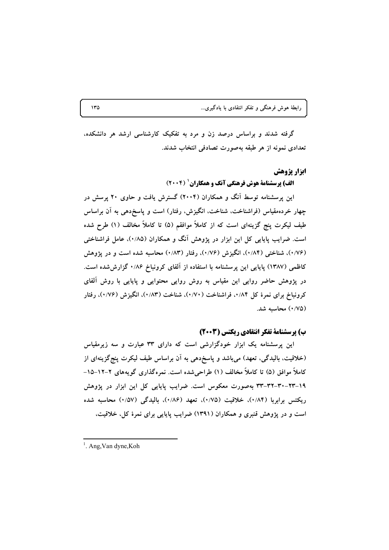گرفته شدند و براساس درصد زن و مرد به تفکیک کارشناسی ارشد هر دانشکده، تعدادی نمونه از هر طبقه بهصورت تصادفی انتخاب شدند.

### ابزار پژوهش

# **الف) پرسشنامهٔ هوش فرهنگی آنگ و همکاران ( ۲۰۰۴)**

این پرسشنامه توسط آنگ و همکاران (۲۰۰۴) گسترش یافت و حاوی ۲۰ پرسش در چهار خردهمقیاس (فراشناخت، شناخت، انگیزش، رفتار) است و پاسخدهی به آن براساس طیف لیکرت پنج گزینهای است که از کاملاً موافقم (۵) تا کاملاً مخالف (۱) طرح شده است. ضرایب پایایی کل این ابزار در پژوهش آنگ و همکاران (۰/۸۵)، عامل فراشناختی (۰/۷۶)، شناختی (۰/۸۴)، انگیزش (۰/۷۶)، رفتار (۰/۸۳) محاسبه شده است و در پژوهش کاظمی (۱۳۸۷) پایایی این پرسشنامه با استفاده از آلفای کرونباخ ۰/۸۶ گزارششده است. در پژوهش حاضر روایی این مقیاس به روش روایی محتوایی و پایایی با روش آلفای کرونباخ برای نمرهٔ کل ۰/۸۴، فراشناخت (۰/۷۰)، شناخت (۰/۸۳)، انگیزش (۰/۷۶)، رفتار (٠/٧٥) محاسبه شد.

# ب) پرسشنامهٔ تفکر انتقادی ریکتس (۲۰۰۳)

این پرسشنامه یک ابزار خودگزارشی است که دارای ۳۳ عبارت و سه زیرمقیاس (خلاقیت، بالیدگی، تعهد) میباشد و پاسخدهی به آن براساس طیف لیکرت پنج گزینهای از کاملاً موافق (۵) تا کاملاً مخالف (۱) طراحی شده است. نمره گذاری گویههای ۲–۱۲–۱۵– ۰-۲۳-۳۲-۳۲-۳۳ بهصورت معکوس است. ضرایب پایایی کل این ابزار در پژوهش ریکتس برابربا (۰/۸۴)، خلاقیت (۰/۷۵)، تعهد (۰/۸۶)، بالیدگی (۰/۵۷) محاسبه شده است و در یژوهش قنبری و همکاران (۱۳۹۱) ضرایب پایایی برای نمرهٔ کل، خلاقیت،

<sup>&</sup>lt;sup>1</sup>. Ang, Van dyne, Koh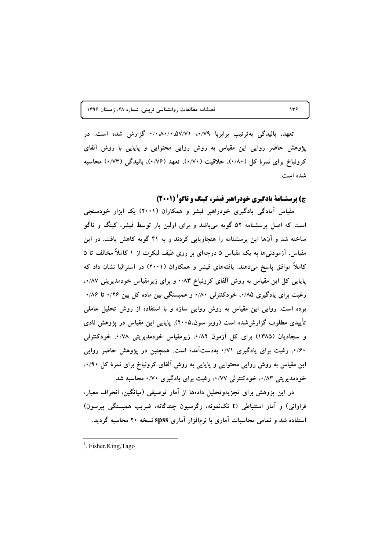فصلنامه مطالعات روانشناسی تربیتی، شماره ٢٨، زمستان ١٣٩۶

تعهد، بالیدگی بهترتیب برابربا ۰/۷۹، ۵۷/۷۱، ۰/۰۸۰/۰ گزارش شده است. در پژوهش حاضر روایی این مقیاس به روش روایی محتوایی و پایایی با روش آلفای کرونباخ برای نمرهٔ کل (۱۸۰)، خلاقیت (۱/۷۰)، تعهد (۱/۷۶)، بالیدگی (۱/۷۳) محاسبه شده است.

ج) پرسشنامهٔ یادگیری خودراهبر فیشر، کینگ و تاگو (2001)

مقیاس آمادگی یادگیری خودراهبر فیشر و همکاران (۲۰۰۱) یک ابزار خودسنجی است که اصل پرسشنامه ۵۲ گویه میباشد و برای اولین بار توسط فیشر، کینگ و تاگو ساخته شد و آنها این پرسشنامه را هنجاریابی کردند و به ۴۱ گویه کاهش یافت. در این مقیاس، اَزمودنیها به یک مقیاس ۵ درجهای بر روی طیف لیکرت از ۱ کاملاً مخالف تا ۵ کاملاً موافق پاسخ میدهند. یافتههای فیشر و همکاران (۲۰۰۱) در استرالیا نشان داد که پایایی کل این مقیاس به روش آلفای کرونباخ ۸۳٪۰ و برای زیرمقیاس خودمدیریتی ۰/۸۷٪ رغبت برای یادگیری ۰/۸۵، خودکنترلی ۰/۸۰ و همبستگی بین ماده کل بین ۰/۲۶ تا ۰/۸۶ بوده است. روایی این مقیاس به روش روایی سازه و با استفاده از روش تحلیل عاملی تأییدی مطلوب گزارششده است (روبر سون،۲۰۰۵). پایایی این مقیاس در پژوهش نادی و سجادیان (۱۳۸۵) برای کل آزمون ۰/۸۲، زیرمقیاس خودمدیریتی ۰/۷۸، خودکنترلمی ۰/۶۰، رغبت برای یادگیری ۰/۷۱ بهدستآمده است. همچنین در پژوهش حاضر روایی این مقیاس به روش روایی محتوایی و پایایی به روش آلفای کرونباخ برای نمرهٔ کل ۰/۹۰، خودمدیریتی ۰/۸۳ خودکنترلی ۰/۷۷ رغبت برای یادگیری ۰/۷۰ محاسبه شد.

در این پژوهش برای تجزیهوتحلیل دادهها از آمار توصیفی (میانگین، انحراف معیار، فراوانی) و آمار استنباطی (t تکنمونه، رگرسیون چندگانه، ضریب همبستگی پیرسون) استفاده شد و تمامی محاسبات آماری با نرمافزار آماری spss نسخه ۲۰ محاسبه گردید.

 $<sup>1</sup>$ . Fisher.King.Tago</sup>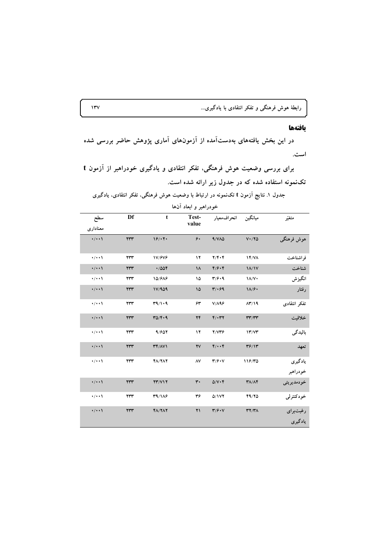### بافتهها

در این بخش یافتههای بهدستآمده از آزمونهای آماری پژوهش حاضر بررسی شده است.

برای بررسی وضعیت هوش فرهنگی، تفکر انتقادی و یادگیری خودراهبر از آزمون t تکنمونه استفاده شده که در جدول زیر ارائه شده است.

جدول ۱. نتایج آزمون t تکنمونه در ارتباط با وضعیت هوش فرهنگی، تفکر انتقادی، یادگیری خودراهبر و ابعاد آن۱ها

| سطح<br>معنادارى    | Df             | $\mathbf t$                                     | Test-<br>value         | ميانگين انحراف،معيار                   |                                             | متغيّر              |
|--------------------|----------------|-------------------------------------------------|------------------------|----------------------------------------|---------------------------------------------|---------------------|
| $\cdot/\cdot\cdot$ | YYY            | 19/17.                                          | ۶.                     | 9/VA <sub>o</sub>                      | $V \cdot / Y \Delta$                        | هوش فرهنگى          |
| $\cdot/\cdot\cdot$ | ٢٣٣            | 17/979                                          | $\mathcal{N}$          | $Y/Y\cdot Y$                           | <b>۱۴/VA</b>                                | فراشناخت            |
| $\cdot/\cdot\cdot$ | YYY            | .7004                                           | ۱۸                     | 4/9.4                                  | $1/\sqrt{1}$                                | شناخت               |
| $\cdot/\cdot\cdot$ | $\tau\tau\tau$ | 10/818                                          | ۱۵                     | $\mathbf{r}/\mathbf{r}\cdot\mathbf{q}$ | $1/\sqrt{v}$                                | انگيزش              |
| $\cdot/\cdot\cdot$ | $\tau\tau\tau$ | 11/909                                          | $\sqrt{2}$             | $Y/\cdot 99$                           | $1\Lambda/f$                                | رفتار               |
| $\cdot$ / $\cdot$  | ٢٣٣            | T9/1.9                                          | ۶۳                     | $V/\Lambda$ ۹۶                         | $\Lambda$ ۳/۱۹                              | تفكر انتقادى        |
| $\cdot/\cdot\cdot$ | $\tau\tau\tau$ | $TQ/F\cdot q$                                   | ٢۴                     | $Y/\cdot YY$                           | $\mathbf{r}\mathbf{r}/\mathbf{r}\mathbf{r}$ | خلاقيت              |
| $\cdot$ / $\cdot$  | $\tau\tau\tau$ | 9/607                                           | $\mathcal{N}$          | Y/VP                                   | 17/77                                       | باليدگى             |
| $\cdot/\cdot\cdot$ | $\tau\tau\tau$ | $\mathbf{r} \mathbf{r} / \mathbf{A} \mathbf{v}$ | $\mathbf{Y}\mathbf{V}$ | 4/4.4                                  | 49/17                                       | تعهد                |
| $\cdot$ / $\cdot$  | ٢٣٣            | <b>FA/ YAY</b>                                  | ۸٧                     | $\mathbf{r}/\mathbf{r}\cdot\mathbf{v}$ | 119/70                                      | یادگیری<br>خودراهبر |
| $\cdot/\cdot\cdot$ | $\tau\tau\tau$ | YY/VIY                                          | $\mathbf{r}$ .         | $Q/V \cdot f$                          | $\mathbf{Y}\Lambda/\Lambda\mathbf{Y}$       | خودمديريتي          |
| $\cdot/\cdot\cdot$ | ٢٣٣            | T9/1AF                                          | ٣۶                     | 0/1VT                                  | Y9/YQ                                       | خودكنترلي           |
| $\cdot/\cdot\cdot$ | $\tau\tau\tau$ | $Y\Lambda/Y\Lambda Y$                           | ۲۱                     | $Y/\hat{Y} \cdot V$                    | $\mathbf{r} \mathbf{y} / \mathbf{r}$        | رغبتبراي<br>يادگيري |

 $\mathbf{y}$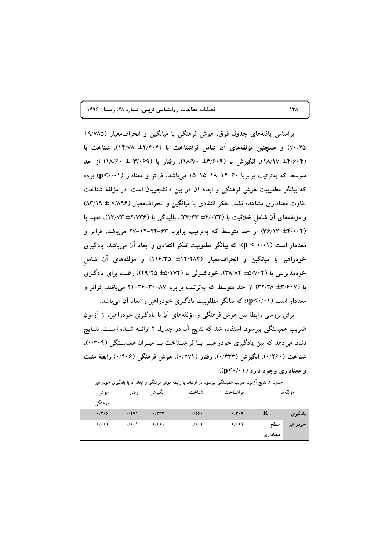**1396 >!B6 028 E :R 0'! 'A)@"#& ;/- -)D 138**

براساس یافتههای جدول فوق، هوش فرهنگی با میانگین و انحرافمعیار (۹/۷۸۵± ۷۰/۲۵) و همچنین مؤلفههای آن شامل فراشناخت با (۲/۴۰۴± ۱۴/۷۸)، شناخت با **82 6# (18/60 ± 3/069) ! 0(18/70 ±3/609) +V("# 0(18/17 ±4/604) متوسط که بهترتیب برابربا ۶۰–۱۲–۱۸–۱۵–۱۵ میباشد، فراتر و معنادار (p<۰/۰۱) بوده** که بیانگر مطلوبیت هوش فرهنگی و ابعاد ان در بین دانشجویان است. در مؤلفهٔ شناخت تفاوت معناداری مشاهده نشد. تفکر انتقادی با میانگین و انحراف0معیار (۷/۸۹۶ ± ۸۳/۱۹) و مؤلفههای آن شامل خلاقیت با (۴/۰۳۲± ۳۳/۳۳)، بالیدگی با (۴/۷۳۶± ۱۳/۷۳)، تعهد با (۳۶/۱۳ ±۴/۰۰۴) از حد متوسط که بهترتیب برابربا ۶۳–۲۴–۲۷ میباشد، فراتر و معنادار است (۰/۱۱ > p؛ که بیانگر مطلوبیت تفکر انتقادی و ابعاد آن می,باشد. یادگیری خودراهبر با میانگین و انحراف،معیار (۱۲/۲۸۴± ۱۱۶/۳۵) و مؤلفههای آن شامل خودمدیریتی با (۴۵/۷۰۴± ۳۸/۸۴)، خودکنترلی با (۵/۱۷۲± ۴۹/۲۵)، رغبت برای یادگیری **& # 08R ' 21-36-30-87 # 

- -J \_A! 82 6# (32/38 ±3/607)**  معنادار است (۰/۱۱)؛ که بیانگر مطلوبیت یادگیری خودراهبر و ابعاد آن میباشد.

برای بررسی رابطهٔ بین هوش فرهنگی و مؤلفههای ان با یادگیری خودراهبر، از ازمون ضریب همبستگی پیرسون استفاده شد که نتایج ان در جدول ۲ ارائــه شــده اســت. نتــایج نشان میدهد که بین یادگیری خودراهبـر بــا فراشــناخت بــا میــزان همبســتگ*ی (۰/*۳۰۹). شناخت (۱۲۶۰). انگیزش (۱۳۳۳). رفتار (۱۲۷۱). هوش فرهنگ<sub>ی</sub> (۱۴۰۶) رابطهٔ مثبت **.(p<0/01) # O& #)/ &**

| هوش<br>فرهنگمي       | رفتار             | انگيزش            | شناخت              | فراشناخت             |                 | مؤ لفهها |
|----------------------|-------------------|-------------------|--------------------|----------------------|-----------------|----------|
| $\cdot$ /۴ $\cdot$ ۶ | $\cdot$ /۲۷۱      | $\cdot$ /۳۳۳      | .779.              | $\cdot$ /۳ $\cdot$ 9 | R               | یادگیری  |
| $\cdot$ / $\cdot$    | $\cdot$ / $\cdot$ | $\cdot$ / $\cdot$ | $\cdot/\cdot\cdot$ | $\cdot$ / $\cdot$    | سطح<br>معنادارى | خودراهبر |

ر ارتباط با رابطهٔ هوش فرهنگی و ابعاد ان با یادگیری خودراهبر جدول ۲. نتایج ازمون ضریب همبستگی پیرسون د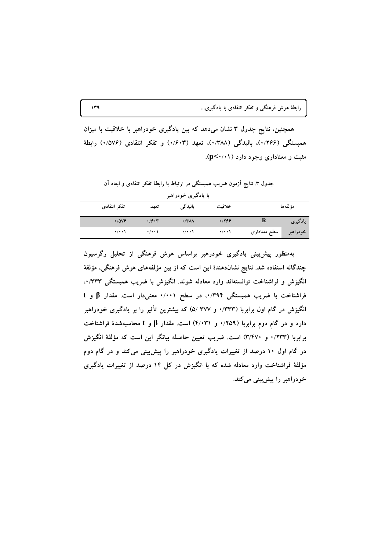همچنین، نتایج جدول ۳ نشان میدهد که بین یادگیری خودراهبر با خلاقیت با میزان همبستگی (۱٬۲۶۶)، بالیدگی (۱٬۳۸۸)، تعهد (۱٬۶۰۳) و تفکر انتقادی (۱٬۵۷۶) رابطهٔ مثبت و معناداری وجود دارد (p<۰/۰۱).

جدول ٣. نتايج أزمون ضريب همبستگي در ارتباط با رابطهٔ تفکر انتقادي و ابعاد آن

|                   |                                        | با یادگیری خودراهبر |                   |              |          |
|-------------------|----------------------------------------|---------------------|-------------------|--------------|----------|
| تفكر انتقادى      | تعهد                                   | باليدگى             | خلاقيت            |              | مؤ لفهها |
| $\cdot$ /0 $\vee$ | $\cdot$ / $\hat{r}$ $\cdot$ $\uparrow$ | $\cdot$ /۳۸۸        | .1799             | R            | یادگیری  |
| $\cdot$ / $\cdot$ | $\cdot$ / $\cdot$                      | $\cdot$ / $\cdot$   | $\cdot$ / $\cdot$ | سطح معناداری | خودراهبر |

بهمنظور پیشبینی یادگیری خودرهبر براساس هوش فرهنگی از تحلیل رگرسیون چندگانه استفاده شد. نتایج نشاندهندهٔ این است که از بین مؤلفههای هوش فرهنگی، مؤلفهٔ انگیزش و فراشناخت توانستهاند وارد معادله شوند. انگیزش با ضریب همبستگی ۰۰/۳۳۳. فراشناخت با ضریب همبستگی ۰/۳۹۴، در سطح ۰/۰۰۱ معنیدار است. مقدار β و t انگیزش در گام اول برابربا (۰/۳۳۳ و ۵/ ۳۷۷ ) که بیشترین تأثیر را بر یادگیری خودراهبر دارد و در گام دوم برابربا (۲۵۹/۰ و ۴/۰۳۱) است. مقدار  $\beta$  و t محاسبهشدهٔ فراشناخت برابربا (۱٬۲۳۳ و ۳/۴۷۰) است. ضریب تعیین حاصله بیانگر این است که مؤلفهٔ انگیزش در گام اول ۱۰ درصد از تغییرات یادگیری خودراهبر را پیشبینی میکند و در گام دوم مؤلفهٔ فراشناخت وارد معادله شده که با انگیزش در کل ۱۴ درصد از تغییرات یادگیری خودراهبر را پیش بینی می کند.

 $149$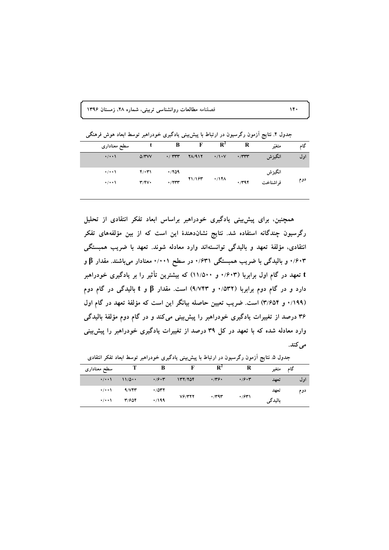فصلنامه مطالعات روانشناسی تربیتی، شماره ۲۸، زمستان ۱۳۹۶

جدول ۴. نتایج آزمون رگرسیون در ارتباط با پیش بینی یادگیری خودراهبر توسط ابعاد هوش فرهنگی

| سطح معنادارى       |                         | B                        | F             | $\mathbf{R}^2$    | R            | متغيّر   | گاھ |
|--------------------|-------------------------|--------------------------|---------------|-------------------|--------------|----------|-----|
| $\cdot/\cdot\cdot$ | $\Delta$ /۳۷۷           | $\cdot$ / $\tau\tau\tau$ | <b>TA/917</b> | $\cdot/1 \cdot V$ | $\cdot$ /٣٣٣ | انگيزش   | اول |
| $\cdot/\cdot\cdot$ | $f(\cdot \tau)$         | .709                     |               |                   |              | انگيزش   |     |
| $\cdot$ / $\cdot$  | $\mathbf{r}/\mathbf{r}$ | .7777                    | 71/187        | $\cdot$ /141      | 4/797        | فراشناخت | دوم |

همچنین، برای پیش بینی یادگیری خودراهبر براساس ابعاد تفکر انتقادی از تحلیل رگرسیون چندگانه استفاده شد. نتایج نشاندهندهٔ این است که از بین مؤلفههای تفکر انتقادی، مؤلفهٔ تعهد و بالیدگی توانستهاند وارد معادله شوند. تعهد با ضریب همبستگی ۰/۶۰۳ و بالیدگی با ضریب همبستگی ۰/۶۳۱ در سطح ۰/۰۰۱ معنادار میباشند. مقدار B و t تعهد در گام اول برابربا (۰/۶۰۳ و ۱۱/۵۰۰) که بیشترین تأثیر را بر یادگیری خودراهبر دارد و در گام دوم برابربا (۵۳۲/۰ و ۹/۷۴۳) است. مقدار β و t بالیدگی در گام دوم (١٩٩/٠ و ٣/٦٥۴) است. ضريب تعيين حاصله بيانگر اين است كه مؤلفة تعهد در گام اول ۳۶ درصد از تغییرات یادگیری خودراهبر را پیشبینی میکند و در گام دوم مؤلفهٔ بالیدگی وارد معادله شده که با تعهد در کل ۳۹ درصد از تغییرات یادگیری خودراهبر را پیش بینی مے کند.

| سطح معنادارى       |       | В            |           | R*           | R                                      | متغير   | گام |
|--------------------|-------|--------------|-----------|--------------|----------------------------------------|---------|-----|
| $\cdot/\cdot\cdot$ | 11/0  | $\cdot$ /9.3 | 137/704   | $\cdot$ /۳۶۰ | $\cdot$ / $\hat{r}$ $\cdot$ $\uparrow$ | تعهد    | اول |
| $\cdot$ / $\cdot$  | 9/VPY | .7047        |           |              |                                        | تعهد    | دوم |
| $\cdot$ / $\cdot$  | 31687 | $\cdot$ /199 | $V$ ۶/۳۲۲ | $\cdot$ /۳۹۳ | $\cdot$ /۶۳۱                           | باليدگى |     |

جدول ۵. نتایج آزمون رگرسیون در ارتباط با پیش،بینی یادگیری خودراهبر توسط ابعاد تفکر انتقادی

 $14.$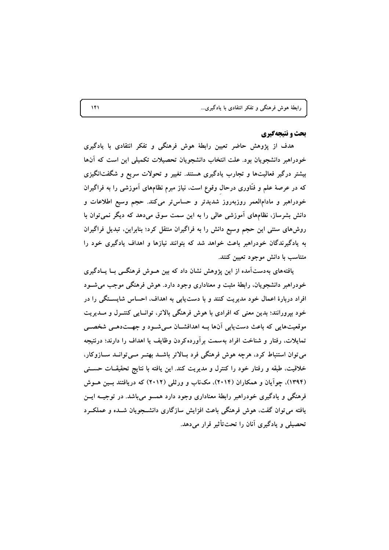| رابطهٔ هوش فرهنگی و تفکر انتقادی با یادگیری |
|---------------------------------------------|
|---------------------------------------------|

#### **یحث و نتیجهگیری**

هدف از پژوهش حاضر تعیین رابطهٔ هوش فرهنگی و تفکر انتقادی با یادگیری خودراهبر دانشجویان بود. علت انتخاب دانشجویان تحصیلات تکمیلی این است که آنها بیشتر درگیر فعالیتها و تجارب یادگیری هستند. تغییر و تحولات سریع و شگفتانگیزی که در عرصهٔ علم و فنّاوری درحال وقوع است، نیاز مبرم نظامهای آموزشی را به فراگیران خودراهبر و مادامالعمر روزبهروز شدیدتر و حساستر می کند. حجم وسیع اطلاعات و دانش بشرساز، نظامهای آموزشی عالی را به این سمت سوق میدهد که دیگر نمی توان با روشهای سنتی این حجم وسیع دانش را به فراگیران منتقل کرد؛ بنابراین، تبدیل فراگیران به یادگیرندگان خودراهبر باعث خواهد شد که بتوانند نیازها و اهداف یادگیری خود را متناسب با دانش موجود تعیین کنند.

یافتههای بهدست آمده از این پژوهش نشان داد که بین هــوش فرهنگــی بــا یــادگیری خودراهبر دانشجویان، رابطهٔ مثبت و معناداری وجود دارد. هوش فرهنگی موجب می شـود افراد دربارهٔ اعمال خود مدیریت کنند و با دست یابی به اهداف، احساس شایستگی را در خود بیرورانند؛ بدین معنی که افرادی با هوش فرهنگی بالاتر، توانسایی کنتـرل و مــدیریت موقعیتهایی که باعث دست یابی آنها بــه اهدافشــان مــی شــود و جهـــتدهــی شخصــی تمایلات، رفتار و شناخت افراد بهسمت برآوردهکردن وظایف یا اهداف را دارند؛ درنتیجه می توان استنباط کرد، هرچه هوش فرهنگی فرد بالاتر باشـد بهتـر مـی توانـد سـازوکار، خلاقیت، طبقه و رفتار خود را کنترل و مدیریت کند. این یافته با نتایج تحقیقــات حســنی (۱۳۹۴)، چوآیان و همکاران (۲۰۱۴)، مکاناب و ورثلی (۲۰۱۲) که دریافتند بسین هسوش فرهنگی و یادگیری خودراهبر رابطهٔ معناداری وجود دارد همسو می باشد. در توجیــه ایــن یافته می توان گفت، هوش فرهنگی باعث افزایش سازگاری دانشــجویان شــده و عملکــرد تحصیلی و یادگیری آنان را تحت تأثیر قرار می دهد.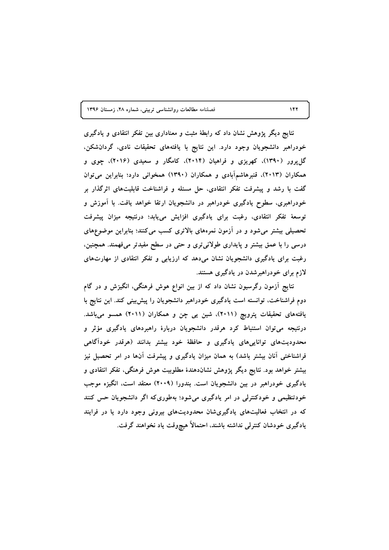فصلنامه مطالعات روانشناسی تربیتی، شماره ۲۸، زمستان ۱۳۹۶

نتایج دیگر پژوهش نشان داد که رابطهٔ مثبت و معناداری بین تفکر انتقادی و یادگیری خودراهبر دانشجويان وجود دارد. اين نتايج با يافتههاي تحقيقات نادي، گردانشكن، گل پرور (۱۳۹۰)، کهریزی و فراهیان (۲۰۱۴)، کامگار و سعیدی (۲۰۱۶)، چوی و همکاران (۲۰۱۳)، قنبرهاشمآبادی و همکاران (۱۳۹۰) همخوانی دارد؛ بنابراین می توان گفت با رشد و پیشرفت تفکر انتقادی، حل مسئله و فراشناخت قابلیتهای اثرگذار بر خودراهبری، سطوح یادگیری خودراهبر در دانشجویان ارتقا خواهد یافت. با آموزش و توسعهٔ تفکر انتقادی، رغبت برای یادگیری افزایش مییابد؛ درنتیجه میزان پیشرفت تحصیلی بیشتر میشود و در آزمون نمرههای بالاتری کسب میکنند؛ بنابراین موضوعهای درسی را با عمق بیشتر و پایداری طولانی تری و حتی در سطح مفیدتر میفهمند. همچنین، رغبت برای یادگیری دانشجویان نشان میدهد که ارزیابی و تفکر انتقادی از مهارتهای لازم برای خودراهبرشدن در یادگیری هستند.

نتایج آزمون رگرسیون نشان داد که از بین انواع هوش فرهنگی، انگیزش و در گام دوم فراشناخت، توانسته است یادگیری خودراهبر دانشجویان را پیشبینی کند. این نتایج با یافتههای تحقیقات پترویچ (۲۰۱۱)، شین یی چن و همکاران (۲۰۱۱) همسو میباشد. درنتیجه می توان استنباط کرد هرقدر دانشجویان دربارهٔ راهبردهای یادگیری مؤثر و محدودیتهای تواناییهای یادگیری و حافظهٔ خود بیشتر بدانند (هرقدر خودآگاهی فراشناختی آنان بیشتر باشد) به همان میزان یادگیری و پیشرفت آنها در امر تحصیل نیز بیشتر خواهد بود. نتایج دیگر پژوهش نشاندهندهٔ مطلوبیت هوش فرهنگی، تفکر انتقادی و یادگیری خودراهبر در بین دانشجویان است. بندورا (۲۰۰۹) معتقد است، انگیزه موجب خودتنظیمی و خودکنترلی در امر یادگیری می شود؛ بهطوری که اگر دانشجویان حس کنند که در انتخاب فعالیتهای یادگیریشان محدودیتهای بیرونی وجود دارد یا در فرایند یادگیری خودشان کنترلمی نداشته باشند، احتمالاً هیچوقت یاد نخواهند گرفت.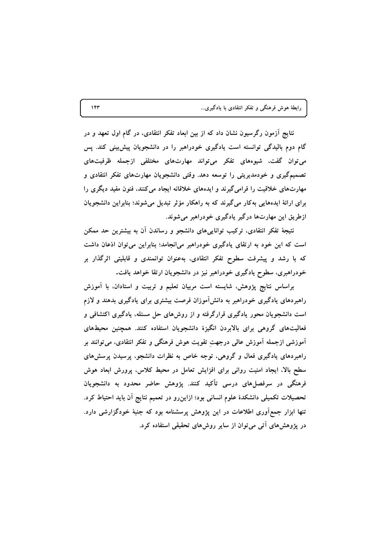نتایج آزمون رگرسیون نشان داد که از بین ابعاد تفکر انتقادی، در گام اول تعهد و در گام دوم بالیدگی توانسته است یادگیری خودراهبر را در دانشجویان پیش بینی کند. پس می توان گفت، شیوههای تفکر می تواند مهارتهای مختلفی ازجمله ظرفیتهای تصمیمگیری و خودمدیریتی را توسعه دهد. وقتی دانشجویان مهارتهای تفکر انتقادی و مهارتهای خلاقیت را فرامی گیرند و ایدههای خلاقانه ایجاد می کنند، فنون مفید دیگری را برای ارائهٔ ایدههایی بهکار میگیرند که به راهکار مؤثر تبدیل میشوند؛ بنابراین دانشجویان ازطریق این مهارتها درگیر یادگیری خودراهبر می شوند.

نتیجهٔ تفکر انتقادی، ترکیب تواناییهای دانشجو و رساندن آن به بیشترین حد ممکن است که این خود به ارتقای یادگیری خودراهبر میانجامد؛ بنابراین می توان اذعان داشت که با رشد و پیشرفت سطوح تفکر انتقادی، بهعنوان توانمندی و قابلیتی اثرگذار بر خودراهبری، سطوح یادگیری خودراهبر نیز در دانشجویان ارتقا خواهد یافت.

براساس نتایج پژوهش، شایسته است مربیان تعلیم و تربیت و استادان، با آموزش راهبردهای یادگیری خودراهبر به دانشآموزان فرصت بیشتری برای یادگیری بدهند و لازم است دانشجویان محور یادگیری قرارگرفته و از روشهای حل مسئله، یادگیری اکتشافی و فعالیتهای گروهی برای بالابردن انگیزهٔ دانشجویان استفاده کنند. همچنین محیطهای آموزشی ازجمله آموزش عالی درجهت تقویت هوش فرهنگی و تفکر انتقادی، می توانند بر راهبردهای یادگیری فعال و گروهی، توجه خاص به نظرات دانشجو، پرسیدن پرسشهای سطح بالا، ایجاد امنیت روانی برای افزایش تعامل در محیط کلاس، پرورش ابعاد هوش فرهنگی در سرفصلهای درسی تأکید کنند. پژوهش حاضر محدود به دانشجویان تحصیلات تکمیلی دانشکدهٔ علوم انسانی بود؛ ازاین٫و در تعمیم نتایج آن باید احتیاط کرد. تنها ابزار جمع آوری اطلاعات در این پژوهش پرسشنامه بود که جنبهٔ خودگزارشی دارد. در پژوهشهای آتی می توان از سایر روشهای تحقیقی استفاده کرد.

 $157$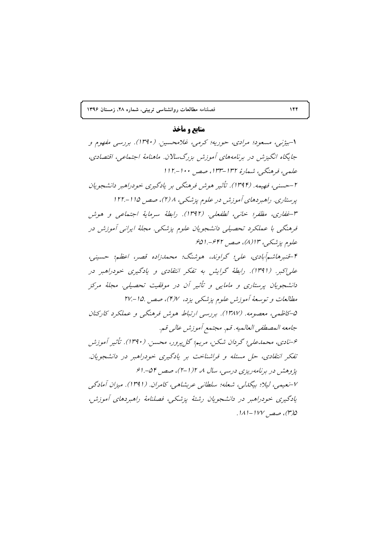**1396 >!B6 028 E :R 0'! 'A)@"#& ;/- -)D 144**

# **منابع و مأخذ**

۱-بیژنی، مسعود؛ مرادی، حوریه؛ کرمی، غلامحسین. (۱۳۹۰). بررسی م*فهو*م و جایگاه انگیزش در برنامههای آموزش بزرگسلان. ماهنامهٔ اجتماعی، اقتصادی، علمي، فرهنگي، شمارهُ ١٣٢-١٣٣، صص ١٠٠-١١٢. ۲-حسنی، فهیمه. (۱۳۹۴). تأثیر هوش فرهنگی بر یادگیری خودراهبر دانشجویان پرستاری. راهبردهای آموزش در علوم پزشکی، ۱/ (۲)، صص ۱۱۵–۱۲۲. ۳-غفاري، مظفر؛ خانبي، لطفعلي. (۱۳۹۲). رابطهٔ سرمايهٔ اجتماعي و هوش فرهنگی با عملکرد تحصیلی دانشجویان علوم پزشکی. مجلهٔ ایرانی آموزش در علوم پزشکی، ۱۳(۸)، صص ۶۴۲-.ا۶۵ ۴-قنبرهاشم َابادي، علي؛ گراوند، هوشنگ؛ محمدزاده قصر، اعظم؛ حسيني، علی|کبر. (۱۳۹۱). رابطهٔ گرایش به تفکر انتقادی و یادگیری خودراهبر در دانشجویان پرستاری و مامایی و تأثیر آن در موفقیت تحصیلی. مجلهٔ مرکز مطالعات و توسعهٔ آموزش علوم پزشکی یزد، ۴/۷)، صص ۱۵.-۲۷. ۵–کاظمی، معصومه. (۱۳۸۷). بررسی ارتباط هوش فرهنگی و عملکرد کارکنان جامعه المصطفى العالميه. قم. مجتمع أموزش عالبي قم. ع-نادی، محمدعلی؛ گردان شکن، مریم؛ گلپرور، محسن. (۱۳۹۰). تأثیر آموزش تفکر انتقادی، حل مسئله و فراشناخت بر یادگیری خودراهبر در دانشجویان. پژوهش در برنامهریزی درسی، سال ۸، ۱/۲-۲)، صص ۵۴-۱۶. ۲-نعیمی، لیلا؛ بیگدلی، شعله؛ سلطانی عربشاهی، کامران. (۱۳۹۱). میزان آمادگی یادگیری خودراهبر در دانشجویان رشتهٔ پزشکی، فصلنامهٔ راهبردهای آموزش، .1⁄1/ صصر ۱۲۷ -ا $1$ ا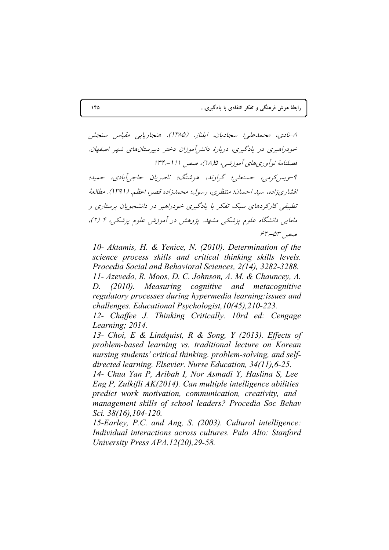٨-نادي، محمدعلي؛ سجاديان، ايلناز. (١٣٨٥). هنجاريابي مقياس سنجش خودراهبری در یادگیری، دربارهٔ دانش آموزان دختر دبیرستانهای شهر اصفهان. فصلنامهٔ نوآوریهای آموزشی، ۱۸/۵)، صص ۱۱۱–۱۳۴ 9-ويس2رمي، حسنعلي؛ گراوند، هوشنگ؛ ناصريان حاجيآبادي، حميد؛ افشاري زاده، سيد احسان؛ منتظري، رسول؛ محمدزاده قصر، اعظم. (١٣٩١). مطالعهُ تطبیقی کارکردهای سبک تفکر با یادگیری خودراهبر در دانشجویان پرستاری و مامایی دانشگاه علوم پزشکی مشهد. پژوهش در آموزش علوم پزشکی، ۴ (۲)،  $55 - 25$ صص

*10- Aktamis, H. & Yenice, N. (2010). Determination of the science process skills and critical thinking skills levels. Procedia Social and Behavioral Sciences, 2(14), 3282-3288. 11- Azevedo, R. Moos, D. C. Johnson, A. M. & Chauncey, A. D. (2010). Measuring cognitive and metacognitive regulatory processes during hypermedia learning:issues and challenges. Educational Psychologist,10(45),210-223.* 

*12- Chaffee J. Thinking Critically. 10rd ed: Cengage Learning; 2014.* 

*13- Choi, E & Lindquist, R & Song, Y (2013). Effects of problem-based learning vs. traditional lecture on Korean nursing students' critical thinking. problem-solving, and selfdirected learning. Elsevier. Nurse Education, 34(11),6-25.* 

*14- Chua Yan P, Aribah I, Nor Asmadi Y, Haslina S, Lee Eng P, Zulkifli AK(2014). Can multiple intelligence abilities predict work motivation, communication, creativity, and management skills of school leaders? Procedia Soc Behav Sci. 38(16),104-120.* 

*15-Earley, P.C. and Ang, S. (2003). Cultural intelligence: Individual interactions across cultures. Palo Alto: Stanford University Press APA.12(20),29-58.*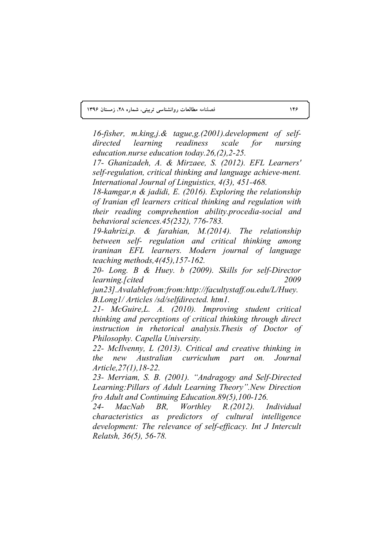**1396 >!B6 028 E :R 0'! 'A)@"#& ;/- -)D 146**

*16-fisher, m.king,j.& tague,g.(2001).development of selfdirected learning readiness scale for nursing education.nurse education today.26,(2),2-25.* 

*17- Ghanizadeh, A. & Mirzaee, S. (2012). EFL Learners' self-regulation, critical thinking and language achieve-ment. International Journal of Linguistics, 4(3), 451-468.* 

*18-kamgar,n & jadidi, E. (2016). Exploring the relationship of Iranian efl learners critical thinking and regulation with their reading comprehention ability.procedia-social and behavioral sciences.45(232), 776-783.* 

*19-kahrizi,p. & farahian, M.(2014). The relationship between self- regulation and critical thinking among iraninan EFL learners. Modern journal of language teaching methods,4(45),157-162.* 

*20- Long. B & Huey. b (2009). Skills for self-Director learning.[cited 2009* 

*jun23].Avalablefrom:from:http://facultystaff.ou.edu/L/Huey. B.Long1/ Articles /sd/selfdirected. htm1.* 

*21- McGuire,L. A. (2010). Improving student critical thinking and perceptions of critical thinking through direct instruction in rhetorical analysis.Thesis of Doctor of Philosophy. Capella University.* 

*22- McIlvenny, L (2013). Critical and creative thinking in the new Australian curriculum part on. Journal Article,27(1),18-22.* 

*23- Merriam, S. B. (2001). "Andragogy and Self-Directed Learning:Pillars of Adult Learning Theory".New Direction fro Adult and Continuing Education.89(5),100-126.* 

*24- MacNab BR, Worthley R.(2012). Individual characteristics as predictors of cultural intelligence development: The relevance of self-efficacy. Int J Intercult Relatsh, 36(5), 56-78.*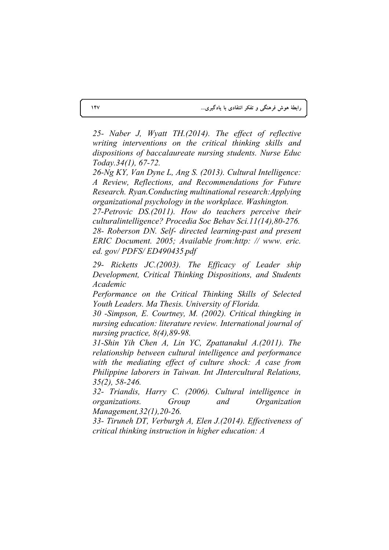25- Naber J. Wyatt TH.(2014). The effect of reflective writing interventions on the critical thinking skills and dispositions of baccalaureate nursing students. Nurse Educ Today.34(1), 67-72.

26-Ng KY, Van Dyne L, Ang S. (2013). Cultural Intelligence: A Review, Reflections, and Recommendations for Future Research. Ryan. Conducting multinational research: Applying organizational psychology in the workplace. Washington.

27-Petrovic DS.(2011). How do teachers perceive their culturalintelligence? Procedia Soc Behav Sci.11(14), 80-276. 28- Roberson DN. Self- directed learning-past and present ERIC Document. 2005; Available from:http: // www. eric. ed. gov/ $PDFS/ED490435$  pdf

29- Ricketts JC.(2003). The Efficacy of Leader ship Development, Critical Thinking Dispositions, and Students *Academic* 

Performance on the Critical Thinking Skills of Selected Youth Leaders. Ma Thesis. University of Florida.

30 -Simpson, E. Courtney, M. (2002). Critical thingking in nursing education: literature review. International journal of nursing practice,  $8(4)$ ,  $89-98$ .

31-Shin Yih Chen A, Lin YC, Zpattanakul A.(2011). The relationship between cultural intelligence and performance with the mediating effect of culture shock: A case from Philippine laborers in Taiwan. Int JIntercultural Relations,  $35(2)$ , 58-246.

32- Triandis, Harry C. (2006). Cultural intelligence in organizations. Group and Organization Management, 32(1), 20-26.

33- Tiruneh DT, Verburgh A, Elen J.(2014). Effectiveness of critical thinking instruction in higher education: A